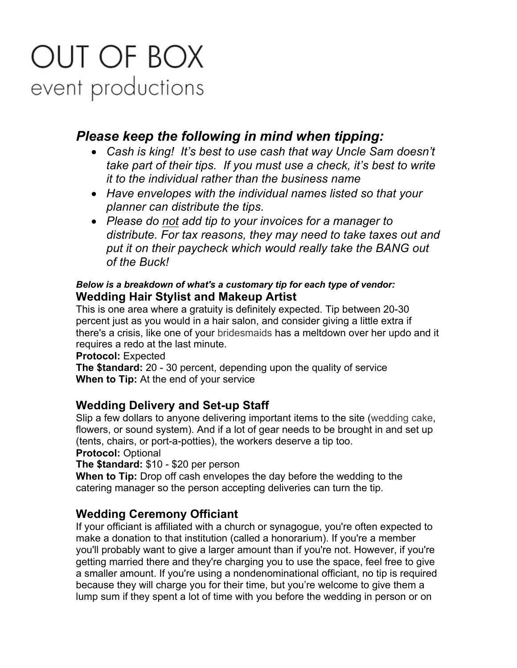# OUT OF BOX event productions

## *Please keep the following in mind when tipping:*

- *Cash is king! It's best to use cash that way Uncle Sam doesn't take part of their tips. If you must use a check, it's best to write it to the individual rather than the business name*
- *Have envelopes with the individual names listed so that your planner can distribute the tips.*
- *Please do not add tip to your invoices for a manager to distribute. For tax reasons, they may need to take taxes out and put it on their paycheck which would really take the BANG out of the Buck!*

#### *Below is a breakdown of what's a customary tip for each type of vendor:* **Wedding Hair Stylist and Makeup Artist**

This is one area where a gratuity is definitely expected. Tip between 20-30 percent just as you would in a hair salon, and consider giving a little extra if there's a crisis, like one of your bridesmaids has a meltdown over her updo and it requires a redo at the last minute.

#### **Protocol:** Expected

**The \$tandard:** 20 - 30 percent, depending upon the quality of service **When to Tip:** At the end of your service

## **Wedding Delivery and Set-up Staff**

Slip a few dollars to anyone delivering important items to the site (wedding cake, flowers, or sound system). And if a lot of gear needs to be brought in and set up (tents, chairs, or port-a-potties), the workers deserve a tip too.

**Protocol:** Optional

**The \$tandard:** \$10 - \$20 per person

**When to Tip:** Drop off cash envelopes the day before the wedding to the catering manager so the person accepting deliveries can turn the tip.

## **Wedding Ceremony Officiant**

If your officiant is affiliated with a church or synagogue, you're often expected to make a donation to that institution (called a honorarium). If you're a member you'll probably want to give a larger amount than if you're not. However, if you're getting married there and they're charging you to use the space, feel free to give a smaller amount. If you're using a nondenominational officiant, no tip is required because they will charge you for their time, but you're welcome to give them a lump sum if they spent a lot of time with you before the wedding in person or on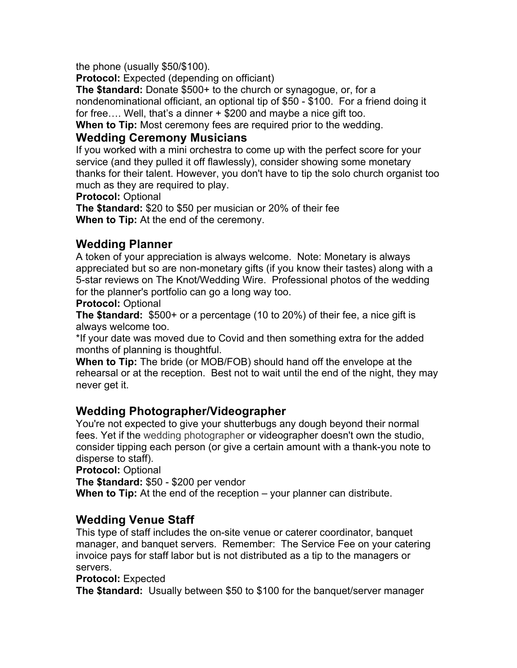the phone (usually \$50/\$100).

**Protocol:** Expected (depending on officiant)

**The \$tandard:** Donate \$500+ to the church or synagogue, or, for a nondenominational officiant, an optional tip of \$50 - \$100. For a friend doing it for free…. Well, that's a dinner + \$200 and maybe a nice gift too.

**When to Tip:** Most ceremony fees are required prior to the wedding.

#### **Wedding Ceremony Musicians**

If you worked with a mini orchestra to come up with the perfect score for your service (and they pulled it off flawlessly), consider showing some monetary thanks for their talent. However, you don't have to tip the solo church organist too much as they are required to play.

**Protocol:** Optional

**The \$tandard:** \$20 to \$50 per musician or 20% of their fee **When to Tip:** At the end of the ceremony.

## **Wedding Planner**

A token of your appreciation is always welcome. Note: Monetary is always appreciated but so are non-monetary gifts (if you know their tastes) along with a 5-star reviews on The Knot/Wedding Wire. Professional photos of the wedding for the planner's portfolio can go a long way too.

**Protocol:** Optional

**The \$tandard:** \$500+ or a percentage (10 to 20%) of their fee, a nice gift is always welcome too.

\*If your date was moved due to Covid and then something extra for the added months of planning is thoughtful.

**When to Tip:** The bride (or MOB/FOB) should hand off the envelope at the rehearsal or at the reception. Best not to wait until the end of the night, they may never get it.

## **Wedding Photographer/Videographer**

You're not expected to give your shutterbugs any dough beyond their normal fees. Yet if the wedding photographer or videographer doesn't own the studio, consider tipping each person (or give a certain amount with a thank-you note to disperse to staff).

**Protocol:** Optional

**The \$tandard:** \$50 - \$200 per vendor

**When to Tip:** At the end of the reception – your planner can distribute.

## **Wedding Venue Staff**

This type of staff includes the on-site venue or caterer coordinator, banquet manager, and banquet servers. Remember: The Service Fee on your catering invoice pays for staff labor but is not distributed as a tip to the managers or servers.

#### **Protocol:** Expected

**The \$tandard:** Usually between \$50 to \$100 for the banquet/server manager